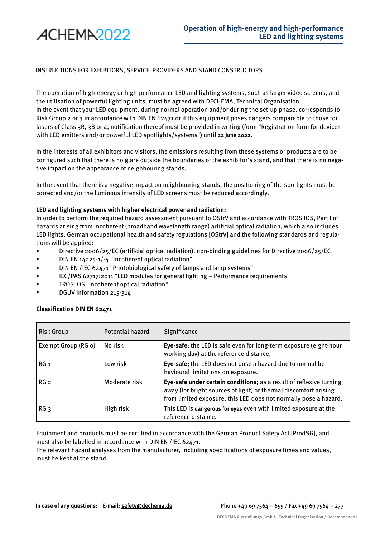

## INSTRUCTIONS FOR EXHIBITORS, SERVICE PROVIDERS AND STAND CONSTRUCTORS

The operation of high-energy or high-performance LED and lighting systems, such as larger video screens, and the utilisation of powerful lighting units, must be agreed with DECHEMA, Technical Organisation. In the event that your LED equipment, during normal operation and/or during the set-up phase, corresponds to Risk Group 2 or 3 in accordance with DIN EN 62471 or if this equipment poses dangers comparable to those for lasers of Class 3R, 3B or 4, notification thereof must be provided in writing (form "Registration form for devices with LED emitters and/or powerful LED spotlights/systems") until **22 June 2022**.

In the interests of all exhibitors and visitors, the emissions resulting from these systems or products are to be configured such that there is no glare outside the boundaries of the exhibitor's stand, and that there is no negative impact on the appearance of neighbouring stands.

In the event that there is a negative impact on neighbouring stands, the positioning of the spotlights must be corrected and/or the luminous intensity of LED screens must be reduced accordingly.

## **LED and lighting systems with higher electrical power and radiation:**

In order to perform the required hazard assessment pursuant to OStrV and accordance with TROS IOS, Part I of hazards arising from incoherent (broadband wavelength range) artificial optical radiation, which also includes LED lights, German occupational health and safety regulations [OStrV] and the following standards and regulations will be applied:

- Directive 2006/25/EC (artificial optical radiation), non-binding guidelines for Directive 2006/25/EC
- DIN EN 14225-1/-4 "Incoherent optical radiation"
- DIN EN /IEC 62471 "Photobiological safety of lamps and lamp systems"
- IEC/PAS 62717:2011 "LED modules for general lighting Performance requirements"
- TROS IOS "Incoherent optical radiation"
- DGUV Information 215-314

## **Classification DIN EN 62471**

| <b>Risk Group</b>   | Potential hazard | Significance                                                                                                                                                                                                |
|---------------------|------------------|-------------------------------------------------------------------------------------------------------------------------------------------------------------------------------------------------------------|
| Exempt Group (RG o) | No risk          | Eye-safe; the LED is safe even for long-term exposure (eight-hour<br>working day) at the reference distance.                                                                                                |
| RG <sub>1</sub>     | Low risk         | Eye-safe; the LED does not pose a hazard due to normal be-<br>havioural limitations on exposure.                                                                                                            |
| RG <sub>2</sub>     | Moderate risk    | Eye-safe under certain conditions; as a result of reflexive turning<br>away (for bright sources of light) or thermal discomfort arising<br>from limited exposure, this LED does not normally pose a hazard. |
| RG <sub>3</sub>     | High risk        | This LED is dangerous for eyes even with limited exposure at the<br>reference distance.                                                                                                                     |

Equipment and products must be certified in accordance with the German Product Safety Act [ProdSG], and must also be labelled in accordance with DIN EN /IEC 62471.

The relevant hazard analyses from the manufacturer, including specifications of exposure times and values, must be kept at the stand.